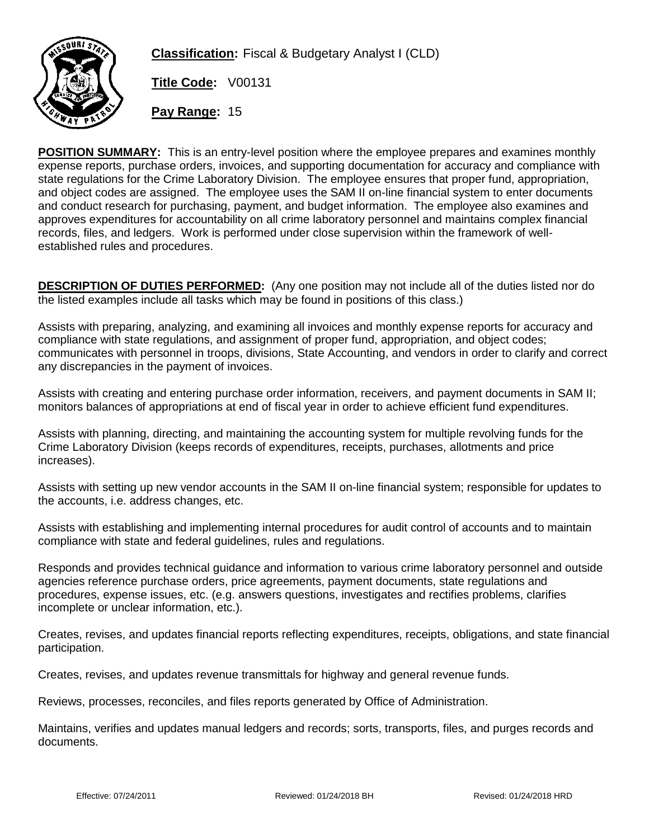

**Classification:** Fiscal & Budgetary Analyst I (CLD)

**Title Code:** V00131

**Pay Range:** 15

**POSITION SUMMARY:** This is an entry-level position where the employee prepares and examines monthly expense reports, purchase orders, invoices, and supporting documentation for accuracy and compliance with state regulations for the Crime Laboratory Division. The employee ensures that proper fund, appropriation, and object codes are assigned. The employee uses the SAM II on-line financial system to enter documents and conduct research for purchasing, payment, and budget information. The employee also examines and approves expenditures for accountability on all crime laboratory personnel and maintains complex financial records, files, and ledgers. Work is performed under close supervision within the framework of wellestablished rules and procedures.

**DESCRIPTION OF DUTIES PERFORMED:** (Any one position may not include all of the duties listed nor do the listed examples include all tasks which may be found in positions of this class.)

Assists with preparing, analyzing, and examining all invoices and monthly expense reports for accuracy and compliance with state regulations, and assignment of proper fund, appropriation, and object codes; communicates with personnel in troops, divisions, State Accounting, and vendors in order to clarify and correct any discrepancies in the payment of invoices.

Assists with creating and entering purchase order information, receivers, and payment documents in SAM II; monitors balances of appropriations at end of fiscal year in order to achieve efficient fund expenditures.

Assists with planning, directing, and maintaining the accounting system for multiple revolving funds for the Crime Laboratory Division (keeps records of expenditures, receipts, purchases, allotments and price increases).

Assists with setting up new vendor accounts in the SAM II on-line financial system; responsible for updates to the accounts, i.e. address changes, etc.

Assists with establishing and implementing internal procedures for audit control of accounts and to maintain compliance with state and federal guidelines, rules and regulations.

Responds and provides technical guidance and information to various crime laboratory personnel and outside agencies reference purchase orders, price agreements, payment documents, state regulations and procedures, expense issues, etc. (e.g. answers questions, investigates and rectifies problems, clarifies incomplete or unclear information, etc.).

Creates, revises, and updates financial reports reflecting expenditures, receipts, obligations, and state financial participation.

Creates, revises, and updates revenue transmittals for highway and general revenue funds.

Reviews, processes, reconciles, and files reports generated by Office of Administration.

Maintains, verifies and updates manual ledgers and records; sorts, transports, files, and purges records and documents.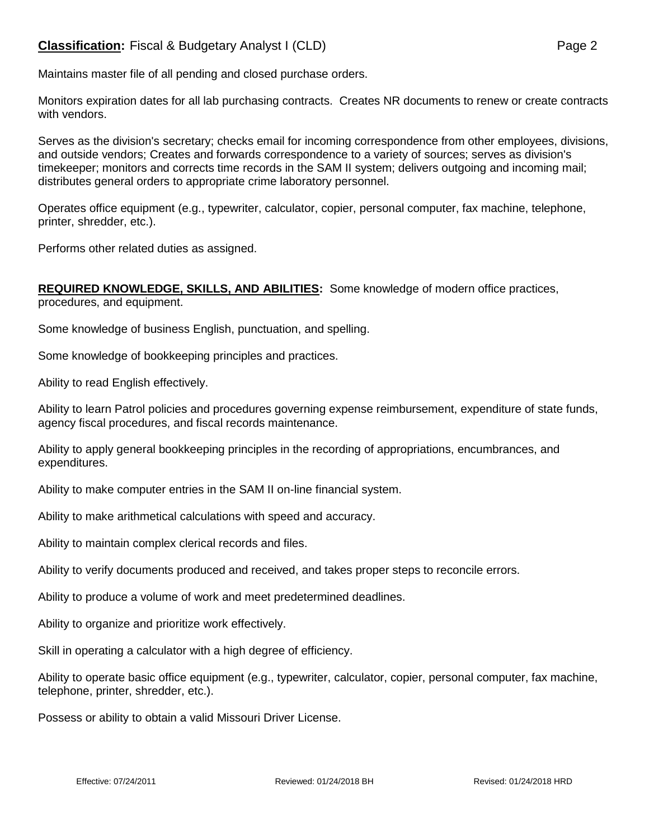## **Classification:** Fiscal & Budgetary Analyst I (CLD) **Page 2** Page 2

Maintains master file of all pending and closed purchase orders.

Monitors expiration dates for all lab purchasing contracts. Creates NR documents to renew or create contracts with vendors.

Serves as the division's secretary; checks email for incoming correspondence from other employees, divisions, and outside vendors; Creates and forwards correspondence to a variety of sources; serves as division's timekeeper; monitors and corrects time records in the SAM II system; delivers outgoing and incoming mail; distributes general orders to appropriate crime laboratory personnel.

Operates office equipment (e.g., typewriter, calculator, copier, personal computer, fax machine, telephone, printer, shredder, etc.).

Performs other related duties as assigned.

## **REQUIRED KNOWLEDGE, SKILLS, AND ABILITIES:** Some knowledge of modern office practices, procedures, and equipment.

Some knowledge of business English, punctuation, and spelling.

Some knowledge of bookkeeping principles and practices.

Ability to read English effectively.

Ability to learn Patrol policies and procedures governing expense reimbursement, expenditure of state funds, agency fiscal procedures, and fiscal records maintenance.

Ability to apply general bookkeeping principles in the recording of appropriations, encumbrances, and expenditures.

Ability to make computer entries in the SAM II on-line financial system.

Ability to make arithmetical calculations with speed and accuracy.

Ability to maintain complex clerical records and files.

Ability to verify documents produced and received, and takes proper steps to reconcile errors.

Ability to produce a volume of work and meet predetermined deadlines.

Ability to organize and prioritize work effectively.

Skill in operating a calculator with a high degree of efficiency.

Ability to operate basic office equipment (e.g., typewriter, calculator, copier, personal computer, fax machine, telephone, printer, shredder, etc.).

Possess or ability to obtain a valid Missouri Driver License.